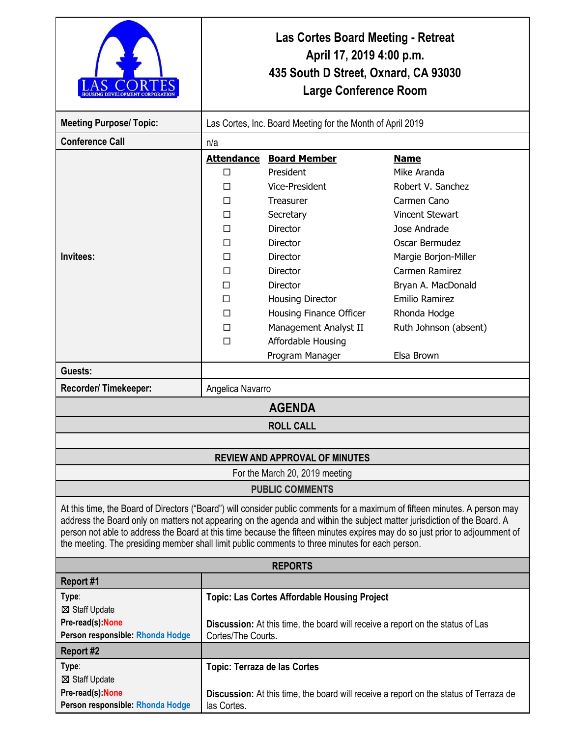|                                                                                                                                                                                                                                                                                                                                                                                                                                                                                            | Las Cortes Board Meeting - Retreat<br>April 17, 2019 4:00 p.m.<br>435 South D Street, Oxnard, CA 93030<br><b>Large Conference Room</b>                             |                                                                                                                                                   |                                                                                                                                                                      |  |
|--------------------------------------------------------------------------------------------------------------------------------------------------------------------------------------------------------------------------------------------------------------------------------------------------------------------------------------------------------------------------------------------------------------------------------------------------------------------------------------------|--------------------------------------------------------------------------------------------------------------------------------------------------------------------|---------------------------------------------------------------------------------------------------------------------------------------------------|----------------------------------------------------------------------------------------------------------------------------------------------------------------------|--|
| <b>Meeting Purpose/ Topic:</b>                                                                                                                                                                                                                                                                                                                                                                                                                                                             | Las Cortes, Inc. Board Meeting for the Month of April 2019                                                                                                         |                                                                                                                                                   |                                                                                                                                                                      |  |
| <b>Conference Call</b>                                                                                                                                                                                                                                                                                                                                                                                                                                                                     | n/a                                                                                                                                                                |                                                                                                                                                   |                                                                                                                                                                      |  |
| Invitees:                                                                                                                                                                                                                                                                                                                                                                                                                                                                                  | <b>Attendance</b><br>□<br>П<br>П<br>П<br>П<br>П<br>П<br>П                                                                                                          | <b>Board Member</b><br>President<br>Vice-President<br>Treasurer<br>Secretary<br><b>Director</b><br>Director<br><b>Director</b><br><b>Director</b> | <b>Name</b><br>Mike Aranda<br>Robert V. Sanchez<br>Carmen Cano<br><b>Vincent Stewart</b><br>Jose Andrade<br>Oscar Bermudez<br>Margie Borjon-Miller<br>Carmen Ramirez |  |
|                                                                                                                                                                                                                                                                                                                                                                                                                                                                                            | П<br>$\Box$<br>П<br>$\Box$<br>П                                                                                                                                    | Director<br><b>Housing Director</b><br>Housing Finance Officer<br>Management Analyst II<br>Affordable Housing<br>Program Manager                  | Bryan A. MacDonald<br><b>Emilio Ramirez</b><br>Rhonda Hodge<br>Ruth Johnson (absent)<br>Elsa Brown                                                                   |  |
| Guests:                                                                                                                                                                                                                                                                                                                                                                                                                                                                                    |                                                                                                                                                                    |                                                                                                                                                   |                                                                                                                                                                      |  |
| Recorder/Timekeeper:                                                                                                                                                                                                                                                                                                                                                                                                                                                                       | Angelica Navarro                                                                                                                                                   |                                                                                                                                                   |                                                                                                                                                                      |  |
| <b>AGENDA</b>                                                                                                                                                                                                                                                                                                                                                                                                                                                                              |                                                                                                                                                                    |                                                                                                                                                   |                                                                                                                                                                      |  |
|                                                                                                                                                                                                                                                                                                                                                                                                                                                                                            |                                                                                                                                                                    | <b>ROLL CALL</b>                                                                                                                                  |                                                                                                                                                                      |  |
|                                                                                                                                                                                                                                                                                                                                                                                                                                                                                            |                                                                                                                                                                    |                                                                                                                                                   |                                                                                                                                                                      |  |
|                                                                                                                                                                                                                                                                                                                                                                                                                                                                                            |                                                                                                                                                                    | <b>REVIEW AND APPROVAL OF MINUTES</b>                                                                                                             |                                                                                                                                                                      |  |
| For the March 20, 2019 meeting                                                                                                                                                                                                                                                                                                                                                                                                                                                             |                                                                                                                                                                    |                                                                                                                                                   |                                                                                                                                                                      |  |
| <b>PUBLIC COMMENTS</b>                                                                                                                                                                                                                                                                                                                                                                                                                                                                     |                                                                                                                                                                    |                                                                                                                                                   |                                                                                                                                                                      |  |
| At this time, the Board of Directors ("Board") will consider public comments for a maximum of fifteen minutes. A person may<br>address the Board only on matters not appearing on the agenda and within the subject matter jurisdiction of the Board. A<br>person not able to address the Board at this time because the fifteen minutes expires may do so just prior to adjournment of<br>the meeting. The presiding member shall limit public comments to three minutes for each person. |                                                                                                                                                                    |                                                                                                                                                   |                                                                                                                                                                      |  |
|                                                                                                                                                                                                                                                                                                                                                                                                                                                                                            |                                                                                                                                                                    | <b>REPORTS</b>                                                                                                                                    |                                                                                                                                                                      |  |
| Report #1                                                                                                                                                                                                                                                                                                                                                                                                                                                                                  |                                                                                                                                                                    |                                                                                                                                                   |                                                                                                                                                                      |  |
| Type:<br>⊠ Staff Update<br>Pre-read(s): None<br>Person responsible: Rhonda Hodge                                                                                                                                                                                                                                                                                                                                                                                                           | <b>Topic: Las Cortes Affordable Housing Project</b><br><b>Discussion:</b> At this time, the board will receive a report on the status of Las<br>Cortes/The Courts. |                                                                                                                                                   |                                                                                                                                                                      |  |
| <b>Report #2</b>                                                                                                                                                                                                                                                                                                                                                                                                                                                                           |                                                                                                                                                                    |                                                                                                                                                   |                                                                                                                                                                      |  |
| Type:<br>⊠ Staff Update<br>Pre-read(s): None<br>Person responsible: Rhonda Hodge                                                                                                                                                                                                                                                                                                                                                                                                           | <b>Topic: Terraza de las Cortes</b><br>las Cortes.                                                                                                                 |                                                                                                                                                   | <b>Discussion:</b> At this time, the board will receive a report on the status of Terraza de                                                                         |  |